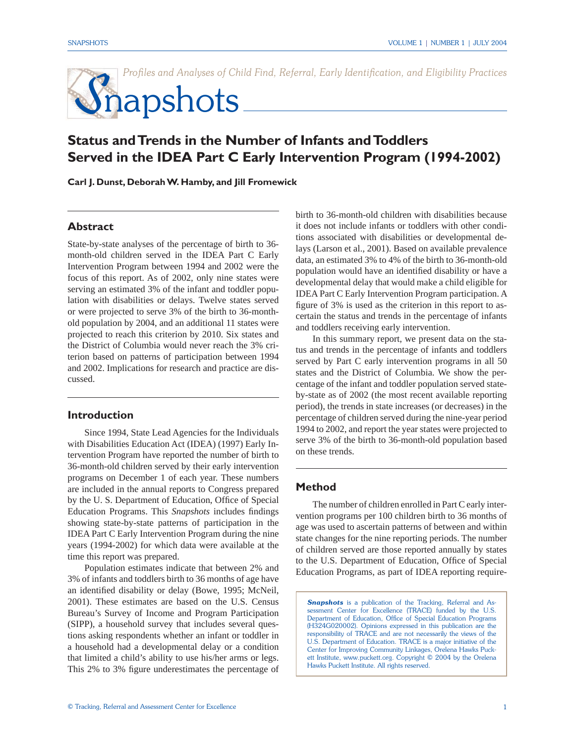Profiles and Analyses of Child Find, Referral, Early Identification, and Eligibility Practices

# **S**napshots

# **Status and Trends in the Number of Infants and Toddlers Served in the IDEA Part C Early Intervention Program (1994-2002)**

**Carl J. Dunst, Deborah W. Hamby, and Jill Fromewick**

# **Abstract**

State-by-state analyses of the percentage of birth to 36 month-old children served in the IDEA Part C Early Intervention Program between 1994 and 2002 were the focus of this report. As of 2002, only nine states were serving an estimated 3% of the infant and toddler population with disabilities or delays. Twelve states served or were projected to serve 3% of the birth to 36-monthold population by 2004, and an additional 11 states were projected to reach this criterion by 2010. Six states and the District of Columbia would never reach the 3% criterion based on patterns of participation between 1994 and 2002. Implications for research and practice are discussed.

### **Introduction**

Since 1994, State Lead Agencies for the Individuals with Disabilities Education Act (IDEA) (1997) Early Intervention Program have reported the number of birth to 36-month-old children served by their early intervention programs on December 1 of each year. These numbers are included in the annual reports to Congress prepared by the U. S. Department of Education, Office of Special Education Programs. This *Snapshots* includes findings showing state-by-state patterns of participation in the IDEA Part C Early Intervention Program during the nine years (1994-2002) for which data were available at the time this report was prepared.

Population estimates indicate that between 2% and 3% of infants and toddlers birth to 36 months of age have an identified disability or delay (Bowe, 1995; McNeil, 2001). These estimates are based on the U.S. Census Bureau's Survey of Income and Program Participation (SIPP), a household survey that includes several questions asking respondents whether an infant or toddler in a household had a developmental delay or a condition that limited a child's ability to use his/her arms or legs. This 2% to 3% figure underestimates the percentage of

birth to 36-month-old children with disabilities because it does not include infants or toddlers with other conditions associated with disabilities or developmental delays (Larson et al., 2001). Based on available prevalence data, an estimated 3% to 4% of the birth to 36-month-old population would have an identified disability or have a developmental delay that would make a child eligible for IDEA Part C Early Intervention Program participation. A figure of 3% is used as the criterion in this report to ascertain the status and trends in the percentage of infants and toddlers receiving early intervention.

 In this summary report, we present data on the status and trends in the percentage of infants and toddlers served by Part C early intervention programs in all 50 states and the District of Columbia. We show the percentage of the infant and toddler population served stateby-state as of 2002 (the most recent available reporting period), the trends in state increases (or decreases) in the percentage of children served during the nine-year period 1994 to 2002, and report the year states were projected to serve 3% of the birth to 36-month-old population based on these trends.

# **Method**

The number of children enrolled in Part C early intervention programs per 100 children birth to 36 months of age was used to ascertain patterns of between and within state changes for the nine reporting periods. The number of children served are those reported annually by states to the U.S. Department of Education, Office of Special Education Programs, as part of IDEA reporting require-

**Snapshots** is a publication of the Tracking, Referral and Assessment Center for Excellence (TRACE) funded by the U.S. Department of Education, Office of Special Education Programs (H324G020002). Opinions expressed in this publication are the responsibility of TRACE and are not necessarily the views of the U.S. Department of Education. TRACE is a major initiative of the Center for Improving Community Linkages, Orelena Hawks Puckett Institute, www.puckett.org. Copyright © 2004 by the Orelena Hawks Puckett Institute. All rights reserved.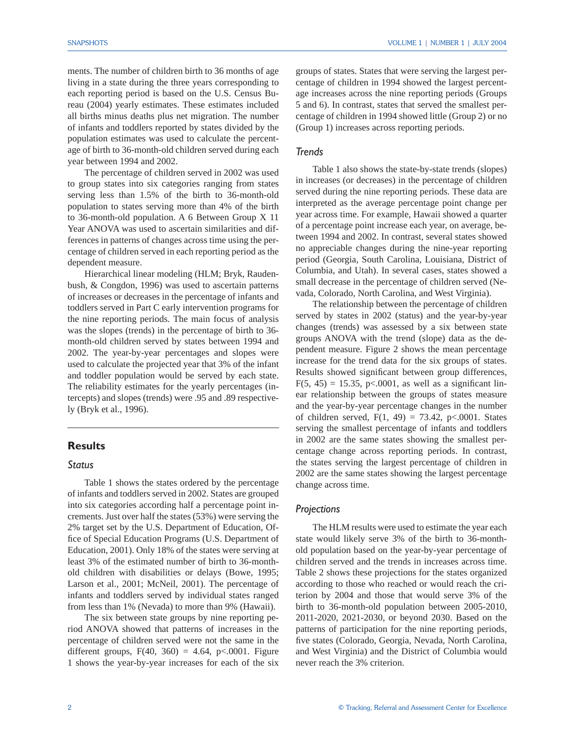ments. The number of children birth to 36 months of age living in a state during the three years corresponding to each reporting period is based on the U.S. Census Bureau (2004) yearly estimates. These estimates included all births minus deaths plus net migration. The number of infants and toddlers reported by states divided by the population estimates was used to calculate the percentage of birth to 36-month-old children served during each year between 1994 and 2002.

The percentage of children served in 2002 was used to group states into six categories ranging from states serving less than 1.5% of the birth to 36-month-old population to states serving more than 4% of the birth to 36-month-old population. A 6 Between Group X 11 Year ANOVA was used to ascertain similarities and differences in patterns of changes across time using the percentage of children served in each reporting period as the dependent measure.

Hierarchical linear modeling (HLM; Bryk, Raudenbush, & Congdon, 1996) was used to ascertain patterns of increases or decreases in the percentage of infants and toddlers served in Part C early intervention programs for the nine reporting periods. The main focus of analysis was the slopes (trends) in the percentage of birth to 36 month-old children served by states between 1994 and 2002. The year-by-year percentages and slopes were used to calculate the projected year that 3% of the infant and toddler population would be served by each state. The reliability estimates for the yearly percentages (intercepts) and slopes (trends) were .95 and .89 respectively (Bryk et al., 1996).

# **Results**

# *Status*

 Table 1 shows the states ordered by the percentage of infants and toddlers served in 2002. States are grouped into six categories according half a percentage point increments. Just over half the states (53%) were serving the 2% target set by the U.S. Department of Education, Office of Special Education Programs (U.S. Department of Education, 2001). Only 18% of the states were serving at least 3% of the estimated number of birth to 36-monthold children with disabilities or delays (Bowe, 1995; Larson et al., 2001; McNeil, 2001). The percentage of infants and toddlers served by individual states ranged from less than 1% (Nevada) to more than 9% (Hawaii).

 The six between state groups by nine reporting period ANOVA showed that patterns of increases in the percentage of children served were not the same in the different groups,  $F(40, 360) = 4.64$ ,  $p<.0001$ . Figure 1 shows the year-by-year increases for each of the six groups of states. States that were serving the largest percentage of children in 1994 showed the largest percentage increases across the nine reporting periods (Groups 5 and 6). In contrast, states that served the smallest percentage of children in 1994 showed little (Group 2) or no (Group 1) increases across reporting periods.

#### *Trends*

 Table 1 also shows the state-by-state trends (slopes) in increases (or decreases) in the percentage of children served during the nine reporting periods. These data are interpreted as the average percentage point change per year across time. For example, Hawaii showed a quarter of a percentage point increase each year, on average, between 1994 and 2002. In contrast, several states showed no appreciable changes during the nine-year reporting period (Georgia, South Carolina, Louisiana, District of Columbia, and Utah). In several cases, states showed a small decrease in the percentage of children served (Nevada, Colorado, North Carolina, and West Virginia).

 The relationship between the percentage of children served by states in 2002 (status) and the year-by-year changes (trends) was assessed by a six between state groups ANOVA with the trend (slope) data as the dependent measure. Figure 2 shows the mean percentage increase for the trend data for the six groups of states. Results showed significant between group differences,  $F(5, 45) = 15.35, p<0.001$ , as well as a significant linear relationship between the groups of states measure and the year-by-year percentage changes in the number of children served,  $F(1, 49) = 73.42$ , p<.0001. States serving the smallest percentage of infants and toddlers in 2002 are the same states showing the smallest percentage change across reporting periods. In contrast, the states serving the largest percentage of children in 2002 are the same states showing the largest percentage change across time.

#### *Projections*

 The HLM results were used to estimate the year each state would likely serve 3% of the birth to 36-monthold population based on the year-by-year percentage of children served and the trends in increases across time. Table 2 shows these projections for the states organized according to those who reached or would reach the criterion by 2004 and those that would serve 3% of the birth to 36-month-old population between 2005-2010, 2011-2020, 2021-2030, or beyond 2030. Based on the patterns of participation for the nine reporting periods, five states (Colorado, Georgia, Nevada, North Carolina, and West Virginia) and the District of Columbia would never reach the 3% criterion.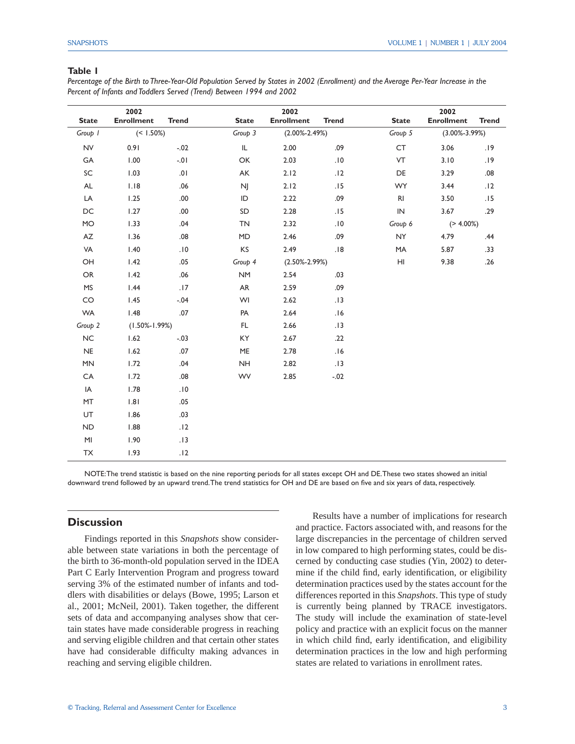#### **Table 1**

*Percentage of the Birth to Three-Year-Old Population Served by States in 2002 (Enrollment) and the Average Per-Year Increase in the Percent of Infants and Toddlers Served (Trend) Between 1994 and 2002*

|               | 2002                |              |              | 2002                |                     |                | 2002                |              |
|---------------|---------------------|--------------|--------------|---------------------|---------------------|----------------|---------------------|--------------|
| <b>State</b>  | <b>Enrollment</b>   | <b>Trend</b> | <b>State</b> | <b>Enrollment</b>   | <b>Trend</b>        | <b>State</b>   | <b>Enrollment</b>   | <b>Trend</b> |
| Group 1       | $(< 1.50\%)$        |              | Group 3      | $(2.00\% - 2.49\%)$ |                     | Group 5        | $(3.00\% - 3.99\%)$ |              |
| <b>NV</b>     | 0.91                | $-.02$       | IL           | 2.00                | .09                 | CT             | 3.06                | .19          |
| GA            | 1.00                | $-0.1$       | OK           | 2.03                | .10                 | VT             | 3.10                | .19          |
| SC            | 1.03                | .01          | AK           | 2.12                | .12                 | DE             | 3.29                | .08          |
| $\mathsf{AL}$ | 1.18                | $.06$        | <b>NJ</b>    | 2.12                | .15                 | <b>WY</b>      | 3.44                | .12          |
| LA            | 1.25                | .00.         | ID           | 2.22                | .09                 | R <sub>l</sub> | 3.50                | .15          |
| DC            | 1.27                | .00          | SD           | 2.28                | .15                 | ${\sf IN}$     | 3.67                | .29          |
| <b>MO</b>     | 1.33                | .04          | <b>TN</b>    | 2.32                | $.10$               |                | $(> 4.00\%)$        |              |
| AZ            | 1.36                | .08          | MD           | 2.46                | .09                 | <b>NY</b>      | 4.79                | .44          |
| VA            | 1.40                | .10          | KS           | 2.49                | .18                 | MA             | 5.87                | .33          |
| OH            | 1.42                | .05          | Group 4      |                     | $(2.50\% - 2.99\%)$ |                | 9.38                | .26          |
| OR            | 1.42                | .06          | <b>NM</b>    | 2.54                | .03                 |                |                     |              |
| <b>MS</b>     | 1.44                | .17          | AR           | 2.59                | .09                 |                |                     |              |
| CO            | 1.45                | $-.04$       | WI           | 2.62                | .13                 |                |                     |              |
| <b>WA</b>     | 1.48                | .07          | PA           | 2.64                | .16                 |                |                     |              |
| Group 2       | $(1.50\% - 1.99\%)$ |              | FL           | 2.66                | .13                 |                |                     |              |
| NC            | 1.62                | $-.03$       | KY           | 2.67                | .22                 |                |                     |              |
| <b>NE</b>     | 1.62                | .07          | ME           | 2.78                | .16                 |                |                     |              |
| MN            | 1.72                | .04          | <b>NH</b>    | 2.82                | .13                 |                |                     |              |
| CA            | 1.72                | $0.08$       | <b>WV</b>    | 2.85                | $-.02$              |                |                     |              |
| IA            | 1.78                | .10          |              |                     |                     |                |                     |              |
| MT            | 1.81                | .05          |              |                     |                     |                |                     |              |
| <b>UT</b>     | 1.86                | .03          |              |                     |                     |                |                     |              |
| <b>ND</b>     | 1.88                | .12          |              |                     |                     |                |                     |              |
| MI            | 1.90                | .13          |              |                     |                     |                |                     |              |
| ${\sf TX}$    | 1.93                | .12          |              |                     |                     |                |                     |              |

NOTE: The trend statistic is based on the nine reporting periods for all states except OH and DE. These two states showed an initial downward trend followed by an upward trend. The trend statistics for OH and DE are based on five and six years of data, respectively.

# **Discussion**

 Findings reported in this *Snapshots* show considerable between state variations in both the percentage of the birth to 36-month-old population served in the IDEA Part C Early Intervention Program and progress toward serving 3% of the estimated number of infants and toddlers with disabilities or delays (Bowe, 1995; Larson et al., 2001; McNeil, 2001). Taken together, the different sets of data and accompanying analyses show that certain states have made considerable progress in reaching and serving eligible children and that certain other states have had considerable difficulty making advances in reaching and serving eligible children.

 Results have a number of implications for research and practice. Factors associated with, and reasons for the large discrepancies in the percentage of children served in low compared to high performing states, could be discerned by conducting case studies (Yin, 2002) to determine if the child find, early identification, or eligibility determination practices used by the states account for the differences reported in this *Snapshots*. This type of study is currently being planned by TRACE investigators. The study will include the examination of state-level policy and practice with an explicit focus on the manner in which child find, early identification, and eligibility determination practices in the low and high performing states are related to variations in enrollment rates.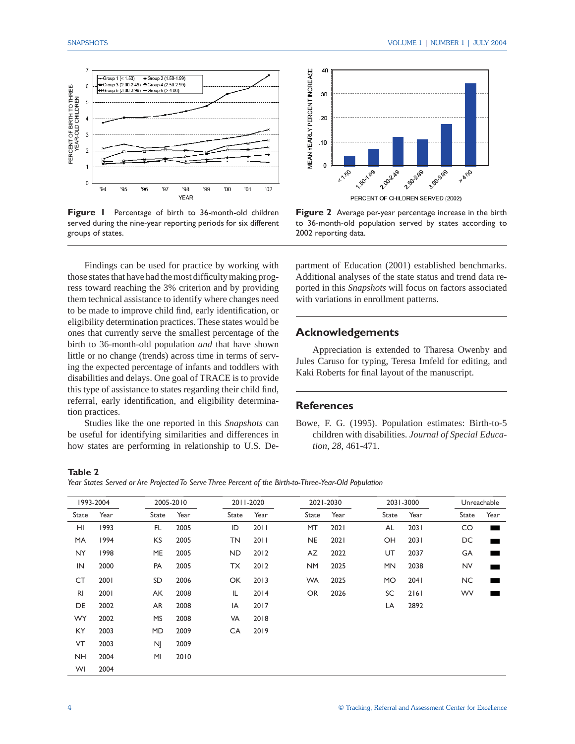

**Figure 1** Percentage of birth to 36-month-old children served during the nine-year reporting periods for six different groups of states.

 Findings can be used for practice by working with those states that have had the most difficulty making progress toward reaching the 3% criterion and by providing them technical assistance to identify where changes need to be made to improve child find, early identification, or eligibility determination practices. These states would be ones that currently serve the smallest percentage of the birth to 36-month-old population *and* that have shown little or no change (trends) across time in terms of serving the expected percentage of infants and toddlers with disabilities and delays. One goal of TRACE is to provide this type of assistance to states regarding their child find, referral, early identification, and eligibility determination practices.

 Studies like the one reported in this *Snapshots* can be useful for identifying similarities and differences in how states are performing in relationship to U.S. De-



**Figure 2** Average per-year percentage increase in the birth to 36-month-old population served by states according to 2002 reporting data.

partment of Education (2001) established benchmarks. Additional analyses of the state status and trend data reported in this *Snapshots* will focus on factors associated with variations in enrollment patterns.

# **Acknowledgements**

 Appreciation is extended to Tharesa Owenby and Jules Caruso for typing, Teresa Imfeld for editing, and Kaki Roberts for final layout of the manuscript.

# **References**

Bowe, F. G. (1995). Population estimates: Birth-to-5 children with disabilities. *Journal of Special Education, 28*, 461-471.

#### **Table 2**

*Year States Served or Are Projected To Serve Three Percent of the Birth-to-Three-Year-Old Population*

| 1993-2004      |      |           | 2005-2010 |       | 2011-2020 |           | 2021-2030 |           | 2031-3000 |              | Unreachable |  |
|----------------|------|-----------|-----------|-------|-----------|-----------|-----------|-----------|-----------|--------------|-------------|--|
| State          | Year | State     | Year      | State | Year      | State     | Year      | State     | Year      | <b>State</b> | Year        |  |
| HI             | 1993 | FL.       | 2005      | ID    | 2011      | MT        | 2021      | AL        | 2031      | CO           | ٠           |  |
| MA             | 1994 | KS        | 2005      | TN    | 2011      | <b>NE</b> | 2021      | OH        | 2031      | DC           |             |  |
| NY.            | 1998 | ME        | 2005      | ND.   | 2012      | AZ        | 2022      | UT        | 2037      | GA           |             |  |
| IN             | 2000 | PA        | 2005      | ТX    | 2012      | <b>NM</b> | 2025      | <b>MN</b> | 2038      | <b>NV</b>    |             |  |
| CT             | 2001 | SD        | 2006      | OK    | 2013      | <b>WA</b> | 2025      | MO        | 2041      | NC.          |             |  |
| R <sub>l</sub> | 2001 | AK        | 2008      | IL    | 2014      | <b>OR</b> | 2026      | SC        | 2161      | <b>WV</b>    |             |  |
| DE             | 2002 | AR        | 2008      | IA    | 2017      |           |           | LA        | 2892      |              |             |  |
| <b>WY</b>      | 2002 | <b>MS</b> | 2008      | VA    | 2018      |           |           |           |           |              |             |  |
| ΚY             | 2003 | MD        | 2009      | CA    | 2019      |           |           |           |           |              |             |  |
| VT             | 2003 | <b>NI</b> | 2009      |       |           |           |           |           |           |              |             |  |
| <b>NH</b>      | 2004 | MI        | 2010      |       |           |           |           |           |           |              |             |  |
| WI             | 2004 |           |           |       |           |           |           |           |           |              |             |  |